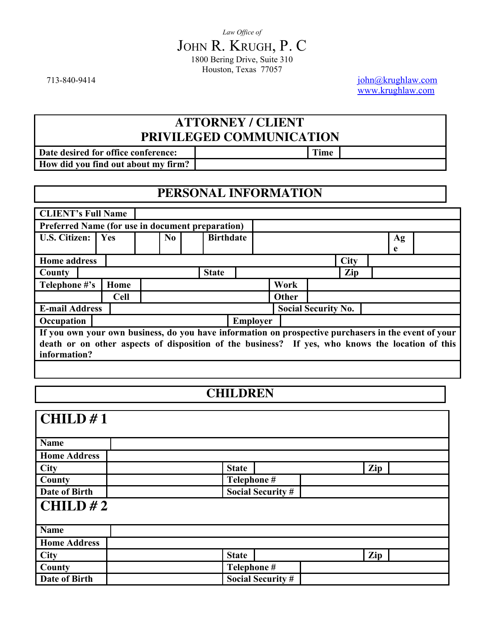713-840-9414 [john@krughlaw.com](mailto:john@krughlaw.com) [www.krughlaw.com](http://www.krughlaw.com/)

# **ATTORNEY / CLIENT PRIVILEGED COMMUNICATION**

**Date desired for office conference:** Time **How did you find out about my firm?**

# **PERSONAL INFORMATION**

| <b>CLIENT's Full Name</b>                                                                            |             |                |                  |                 |              |                            |             |    |  |
|------------------------------------------------------------------------------------------------------|-------------|----------------|------------------|-----------------|--------------|----------------------------|-------------|----|--|
| Preferred Name (for use in document preparation)                                                     |             |                |                  |                 |              |                            |             |    |  |
| <b>U.S. Citizen:</b>                                                                                 | Yes         | N <sub>0</sub> | <b>Birthdate</b> |                 |              |                            |             | Ag |  |
|                                                                                                      |             |                |                  |                 |              |                            |             | e  |  |
| <b>Home address</b>                                                                                  |             |                |                  |                 |              |                            | <b>City</b> |    |  |
| County                                                                                               |             |                | <b>State</b>     |                 |              |                            | Zip         |    |  |
| Telephone #'s                                                                                        | Home        |                |                  |                 | Work         |                            |             |    |  |
|                                                                                                      | <b>Cell</b> |                |                  |                 | <b>Other</b> |                            |             |    |  |
| <b>E-mail Address</b>                                                                                |             |                |                  |                 |              | <b>Social Security No.</b> |             |    |  |
| Occupation                                                                                           |             |                |                  | <b>Employer</b> |              |                            |             |    |  |
| If you own your own business, do you have information on prospective purchasers in the event of your |             |                |                  |                 |              |                            |             |    |  |
| death or on other aspects of disposition of the business? If yes, who knows the location of this     |             |                |                  |                 |              |                            |             |    |  |
| information?                                                                                         |             |                |                  |                 |              |                            |             |    |  |
|                                                                                                      |             |                |                  |                 |              |                            |             |    |  |

# **CHILDREN**

| $\sqrt{\text{CHILD #1}}$ |                          |     |  |
|--------------------------|--------------------------|-----|--|
| <b>Name</b>              |                          |     |  |
| <b>Home Address</b>      |                          |     |  |
| <b>City</b>              | <b>State</b>             | Zip |  |
| County                   | Telephone #              |     |  |
| Date of Birth            | <b>Social Security #</b> |     |  |
| CHILD#2                  |                          |     |  |
| <b>Name</b>              |                          |     |  |
| <b>Home Address</b>      |                          |     |  |
| <b>City</b>              | <b>State</b>             | Zip |  |
| County                   | Telephone #              |     |  |
| Date of Birth            | <b>Social Security #</b> |     |  |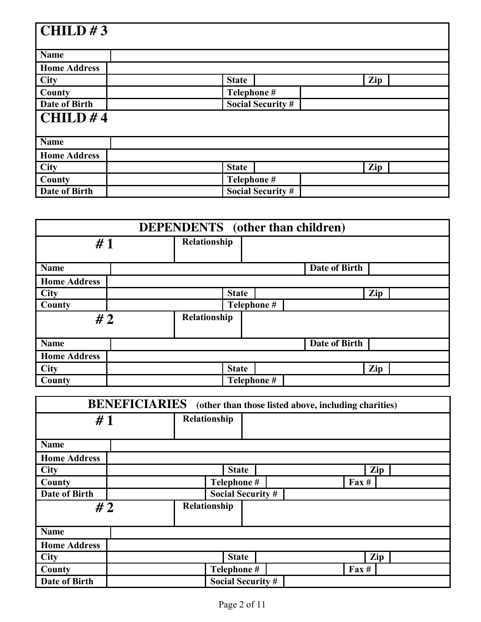| $\overline{\text{CHILD}}$ #3 |                          |     |
|------------------------------|--------------------------|-----|
|                              |                          |     |
| <b>Name</b>                  |                          |     |
| <b>Home Address</b>          |                          |     |
| <b>City</b>                  | <b>State</b>             | Zip |
| County                       | Telephone #              |     |
| Date of Birth                | <b>Social Security #</b> |     |
| CHILD#4                      |                          |     |
|                              |                          |     |
| <b>Name</b>                  |                          |     |
| <b>Home Address</b>          |                          |     |
| <b>City</b>                  | <b>State</b>             | Zip |
| County                       | Telephone #              |     |
| Date of Birth                | <b>Social Security #</b> |     |

| <b>DEPENDENTS</b> (other than children) |  |              |              |  |                      |     |
|-----------------------------------------|--|--------------|--------------|--|----------------------|-----|
| #1                                      |  | Relationship |              |  |                      |     |
| <b>Name</b>                             |  |              |              |  | <b>Date of Birth</b> |     |
| <b>Home Address</b>                     |  |              |              |  |                      |     |
| <b>City</b>                             |  |              | <b>State</b> |  |                      | Zip |
| County                                  |  |              | Telephone #  |  |                      |     |
| #2                                      |  | Relationship |              |  |                      |     |
| <b>Name</b>                             |  |              |              |  | <b>Date of Birth</b> |     |
| <b>Home Address</b>                     |  |              |              |  |                      |     |
| <b>City</b>                             |  |              | <b>State</b> |  |                      | Zip |
| County                                  |  |              | Telephone #  |  |                      |     |

| <b>BENEFICIARIES</b><br>(other than those listed above, including charities) |             |              |             |                          |  |                 |  |     |
|------------------------------------------------------------------------------|-------------|--------------|-------------|--------------------------|--|-----------------|--|-----|
| #1                                                                           |             | Relationship |             |                          |  |                 |  |     |
|                                                                              |             |              |             |                          |  |                 |  |     |
| <b>Name</b>                                                                  |             |              |             |                          |  |                 |  |     |
| <b>Home Address</b>                                                          |             |              |             |                          |  |                 |  |     |
| <b>City</b>                                                                  |             |              |             | <b>State</b>             |  |                 |  | Zip |
| County                                                                       | Telephone # |              |             |                          |  | $\text{Fax} \#$ |  |     |
| Date of Birth                                                                |             |              |             | <b>Social Security #</b> |  |                 |  |     |
| #2                                                                           |             | Relationship |             |                          |  |                 |  |     |
|                                                                              |             |              |             |                          |  |                 |  |     |
| <b>Name</b>                                                                  |             |              |             |                          |  |                 |  |     |
| <b>Home Address</b>                                                          |             |              |             |                          |  |                 |  |     |
| <b>City</b>                                                                  |             |              |             | <b>State</b>             |  |                 |  | Zip |
| County                                                                       |             |              | Telephone # |                          |  | $\text{Fax} \#$ |  |     |
| Date of Birth                                                                |             |              |             | <b>Social Security #</b> |  |                 |  |     |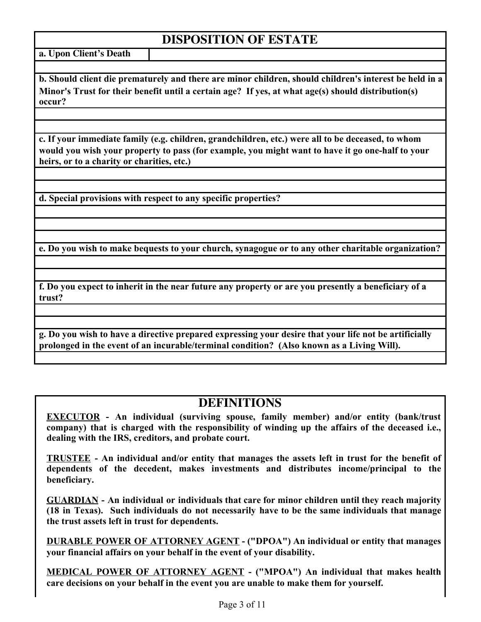# **DISPOSITION OF ESTATE**

**a. Upon Client's Death**

**b. Should client die prematurely and there are minor children, should children's interest be held in a Minor's Trust for their benefit until a certain age? If yes, at what age(s) should distribution(s) occur?**

**c. If your immediate family (e.g. children, grandchildren, etc.) were all to be deceased, to whom would you wish your property to pass (for example, you might want to have it go one-half to your heirs, or to a charity or charities, etc.)**

**d. Special provisions with respect to any specific properties?**

**e. Do you wish to make bequests to your church, synagogue or to any other charitable organization?**

**f. Do you expect to inherit in the near future any property or are you presently a beneficiary of a trust?**

**g. Do you wish to have a directive prepared expressing your desire that your life not be artificially prolonged in the event of an incurable/terminal condition? (Also known as a Living Will).**

## **DEFINITIONS**

**EXECUTOR - An individual (surviving spouse, family member) and/or entity (bank/trust company) that is charged with the responsibility of winding up the affairs of the deceased i.e., dealing with the IRS, creditors, and probate court.**

**TRUSTEE - An individual and/or entity that manages the assets left in trust for the benefit of dependents of the decedent, makes investments and distributes income/principal to the beneficiary.**

**GUARDIAN - An individual or individuals that care for minor children until they reach majority (18 in Texas). Such individuals do not necessarily have to be the same individuals that manage the trust assets left in trust for dependents.**

**DURABLE POWER OF ATTORNEY AGENT - ("DPOA") An individual or entity that manages your financial affairs on your behalf in the event of your disability.**

**MEDICAL POWER OF ATTORNEY AGENT - ("MPOA") An individual that makes health care decisions on your behalf in the event you are unable to make them for yourself.**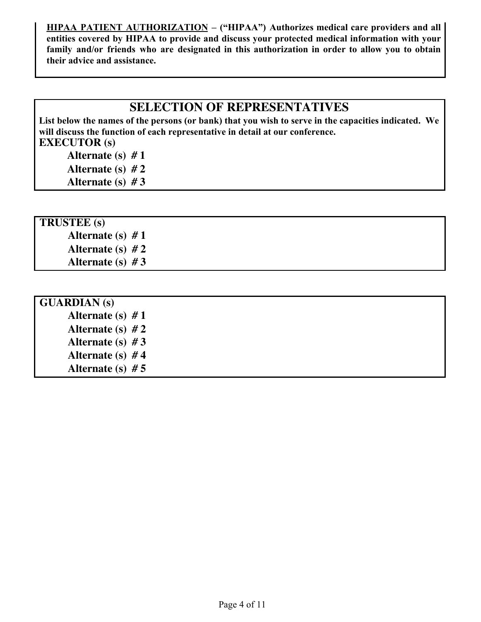**HIPAA PATIENT AUTHORIZATION – ("HIPAA") Authorizes medical care providers and all entities covered by HIPAA to provide and discuss your protected medical information with your family and/or friends who are designated in this authorization in order to allow you to obtain their advice and assistance.**

## **SELECTION OF REPRESENTATIVES**

**List below the names of the persons (or bank) that you wish to serve in the capacities indicated. We will discuss the function of each representative in detail at our conference. EXECUTOR (s)**

- **Alternate (s) # 1**
- **Alternate (s) # 2**
- **Alternate (s) # 3**

## **TRUSTEE (s)**

- **Alternate (s) # 1 Alternate (s) # 2**
- **Alternate (s) # 3**

| <b>GUARDIAN</b> (s) |  |  |
|---------------------|--|--|
| Alternate (s) $#1$  |  |  |
| Alternate (s) $#2$  |  |  |
| Alternate (s) $#3$  |  |  |
| Alternate (s) $#4$  |  |  |
| Alternate (s) $# 5$ |  |  |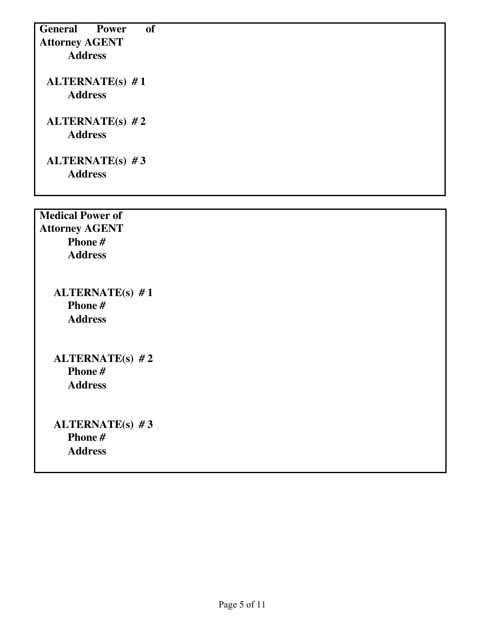**General Power of Attorney AGENT Address ALTERNATE(s) # 1 Address ALTERNATE(s) # 2 Address ALTERNATE(s) # 3 Address Medical Power of Attorney AGENT Phone # Address ALTERNATE(s) # 1**

**ALTERNATE(s) # 3 Phone # Address**

**ALTERNATE(s) # 2**

**Phone # Address**

**Phone # Address**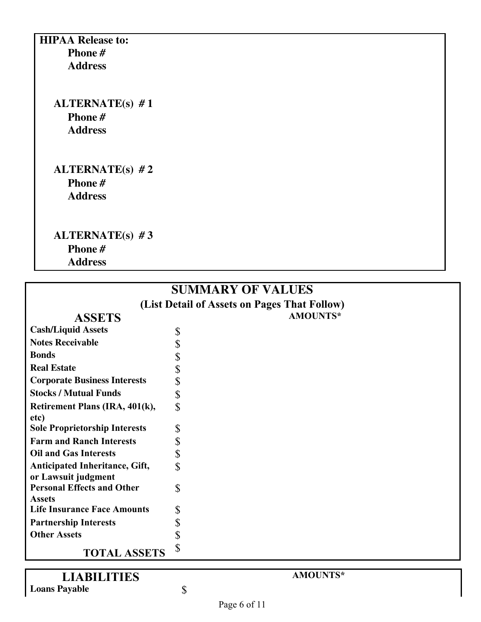**HIPAA Release to: Phone # Address**

> **ALTERNATE(s) # 1 Phone # Address**

> **ALTERNATE(s) # 2 Phone # Address**

> **ALTERNATE(s) # 3 Phone # Address**

# **SUMMARY OF VALUES**

**(List Detail of Assets on Pages That Follow)**

## **ASSETS AMOUNTS\***

#### **Cash/Liquid Assets** \$ Notes Receivable<br> **Bonds**<br> **S**<br>
Real Estate<br> **Corporate Business Interests**<br> **S Bonds**  $\qquad$   $\qquad$ **Real Estate Corporate Business Interests Stocks / Mutual Funds** \$ **Retirement Plans (IRA, 401(k), etc)**  $\mathbf S$ **Sole Proprietorship Interests** \$ **Farm and Ranch Interests** \$ **Oil and Gas Interests** \$ **Anticipated Inheritance, Gift, or Lawsuit judgment**  $\mathbf S$ **Personal Effects and Other Assets** \$ Life Insurance Face Amounts \$ **Partnership Interests** \$<br>Other Assets \$ **Other Assets** \$

**TOTAL ASSETS**

# **LIABILITIES AMOUNTS\***

Loans **Payable** \$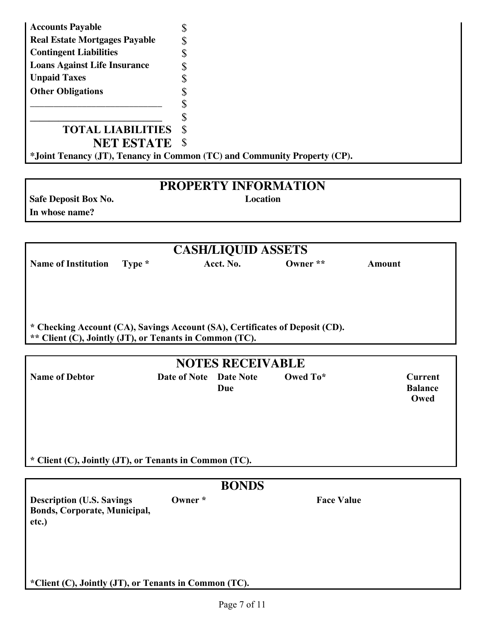| <b>Accounts Payable</b>              |                                                                          |
|--------------------------------------|--------------------------------------------------------------------------|
| <b>Real Estate Mortgages Payable</b> |                                                                          |
| <b>Contingent Liabilities</b>        |                                                                          |
| <b>Loans Against Life Insurance</b>  |                                                                          |
| <b>Unpaid Taxes</b>                  |                                                                          |
| <b>Other Obligations</b>             |                                                                          |
|                                      |                                                                          |
|                                      |                                                                          |
| <b>TOTAL LIABILITIES</b>             | <b>S</b>                                                                 |
| <b>NET ESTATE</b>                    | - S                                                                      |
|                                      | *Joint Tenancy (JT), Tenancy in Common (TC) and Community Property (CP). |
|                                      |                                                                          |
|                                      | RRARRRHITARI (IRIAN)                                                     |

# **PROPERTY INFORMATION**

**In whose name?**

**Safe Deposit Box No.** 

|                                                                              |                        | <b>CASH/LIQUID ASSETS</b> |                   |                        |
|------------------------------------------------------------------------------|------------------------|---------------------------|-------------------|------------------------|
| <b>Name of Institution</b><br>Type *                                         |                        | Acct. No.                 | Owner **          | <b>Amount</b>          |
|                                                                              |                        |                           |                   |                        |
|                                                                              |                        |                           |                   |                        |
| * Checking Account (CA), Savings Account (SA), Certificates of Deposit (CD). |                        |                           |                   |                        |
| ** Client (C), Jointly (JT), or Tenants in Common (TC).                      |                        |                           |                   |                        |
|                                                                              |                        | <b>NOTES RECEIVABLE</b>   |                   |                        |
| <b>Name of Debtor</b>                                                        | Date of Note Date Note |                           | Owed To*          | <b>Current</b>         |
|                                                                              |                        | Due                       |                   | <b>Balance</b><br>Owed |
|                                                                              |                        |                           |                   |                        |
|                                                                              |                        |                           |                   |                        |
|                                                                              |                        |                           |                   |                        |
| * Client (C), Jointly (JT), or Tenants in Common (TC).                       |                        |                           |                   |                        |
|                                                                              |                        | <b>BONDS</b>              |                   |                        |
| <b>Description (U.S. Savings)</b>                                            | Owner *                |                           | <b>Face Value</b> |                        |
| <b>Bonds, Corporate, Municipal,</b><br>etc.)                                 |                        |                           |                   |                        |
|                                                                              |                        |                           |                   |                        |
|                                                                              |                        |                           |                   |                        |
|                                                                              |                        |                           |                   |                        |
| *Client (C), Jointly (JT), or Tenants in Common (TC).                        |                        |                           |                   |                        |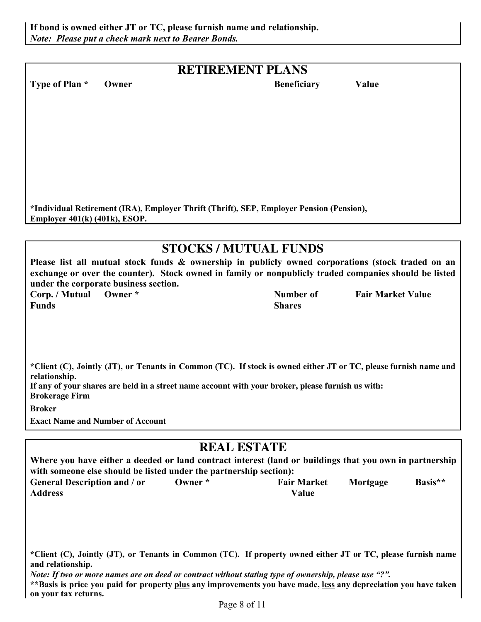## **RETIREMENT PLANS**

**Type of Plan \*** Owner **Beneficiary Value** 

**\*Individual Retirement (IRA), Employer Thrift (Thrift), SEP, Employer Pension (Pension), Employer 401(k) (401k), ESOP.**

# **STOCKS / MUTUAL FUNDS**

**Please list all mutual stock funds & ownership in publicly owned corporations (stock traded on an exchange or over the counter). Stock owned in family or nonpublicly traded companies should be listed under the corporate business section. Corp. / Mutual Owner \* Number of** 

**Funds**

**Shares**

**Fair Market Value**

\*Client (C), Jointly (JT), or Tenants in Common (TC). If stock is owned either JT or TC, please furnish name and **relationship.**

If any of your shares are held in a street name account with your broker, please furnish us with: **Brokerage Firm**

**Broker**

**Exact Name and Number of Account**

## **REAL ESTATE**

| Where you have either a deeded or land contract interest (land or buildings that you own in partnership |              |                    |          |         |  |  |
|---------------------------------------------------------------------------------------------------------|--------------|--------------------|----------|---------|--|--|
| with someone else should be listed under the partnership section):                                      |              |                    |          |         |  |  |
| <b>General Description and / or</b>                                                                     | $O$ wner $*$ | <b>Fair Market</b> | Mortgage | Basis** |  |  |
| <b>Address</b>                                                                                          |              | Value              |          |         |  |  |

\*Client (C), Jointly (JT), or Tenants in Common (TC). If property owned either JT or TC, please furnish name **and relationship.**

Note: If two or more names are on deed or contract without stating type of ownership, please use "?".

\*\*Basis is price you paid for property plus any improvements you have made, less any depreciation you have taken **on your tax returns.**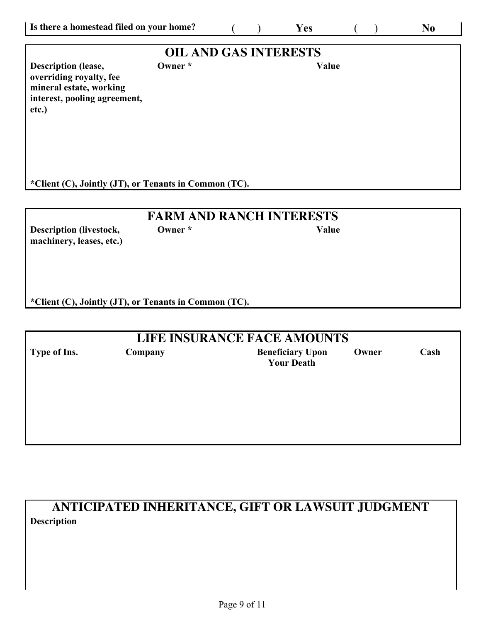|                                         |                              |                                                       | $\mathbf{N}\mathbf{0}$ |
|-----------------------------------------|------------------------------|-------------------------------------------------------|------------------------|
|                                         | <b>OIL AND GAS INTERESTS</b> |                                                       |                        |
| Owner *<br>interest, pooling agreement, |                              | Value                                                 |                        |
|                                         |                              |                                                       |                        |
| <b>FARM AND RANCH INTERESTS</b>         |                              |                                                       |                        |
|                                         |                              | *Client (C), Jointly (JT), or Tenants in Common (TC). |                        |

| <b>LIFE INSURANCE FACE AMOUNTS</b> |         |                                              |       |      |  |  |  |
|------------------------------------|---------|----------------------------------------------|-------|------|--|--|--|
| Type of Ins.                       | Company | <b>Beneficiary Upon</b><br><b>Your Death</b> | Owner | Cash |  |  |  |
|                                    |         |                                              |       |      |  |  |  |
|                                    |         |                                              |       |      |  |  |  |
|                                    |         |                                              |       |      |  |  |  |

**ANTICIPATED INHERITANCE, GIFT OR LAWSUIT JUDGMENT Description**